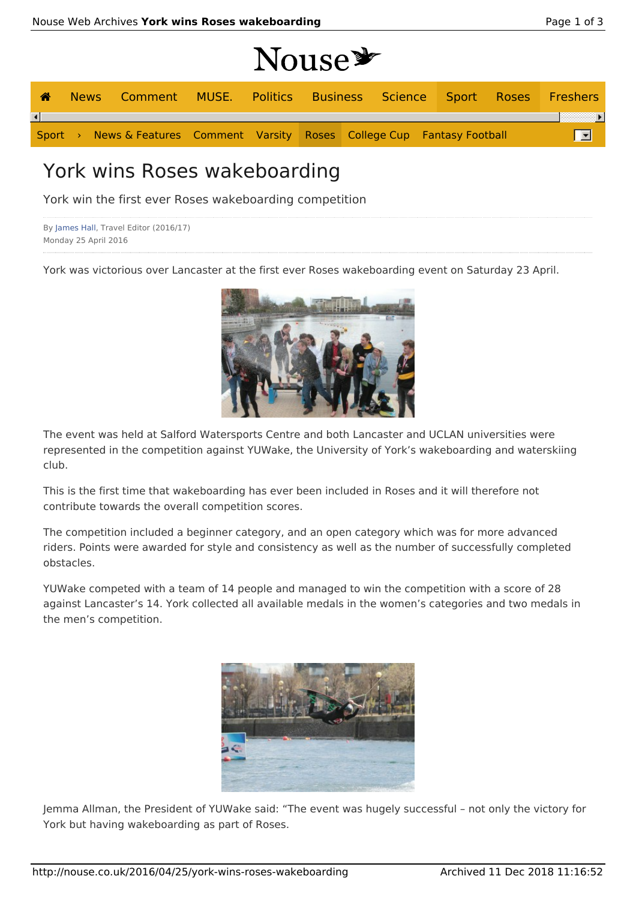|   |  |                                                                            | Nouse <sup>y</sup> |  |  |  |  |
|---|--|----------------------------------------------------------------------------|--------------------|--|--|--|--|
| ☎ |  | News Comment MUSE. Politics Business Science Sport Roses Freshers          |                    |  |  |  |  |
|   |  |                                                                            |                    |  |  |  |  |
|   |  | Sport > News & Features Comment Varsity Roses College Cup Fantasy Football |                    |  |  |  |  |
|   |  |                                                                            |                    |  |  |  |  |

## York wins Roses wakeboarding

York win the first ever Roses wakeboarding competition

```
By James Hall, Travel Editor (2016/17)
Monday 25 April 2016
```
York was victorious over Lancaster at the first ever Roses wakeboarding event on Saturday 23 April.



The event was held at Salford Watersports Centre and both Lancaster and UCLAN universities were represented in the competition against YUWake, the University of York's wakeboarding and waterskiing club.

This is the first time that wakeboarding has ever been included in Roses and it will therefore not contribute towards the overall competition scores.

The competition included a beginner category, and an open category which was for more advanced riders. Points were awarded for style and consistency as well as the number of successfully completed obstacles.

YUWake competed with a team of 14 people and managed to win the competition with a score of 28 against Lancaster's 14. York collected all available medals in the women's categories and two medals in the men's competition.



Jemma Allman, the President of YUWake said: "The event was hugely successful – not only the victory for York but having wakeboarding as part of Roses.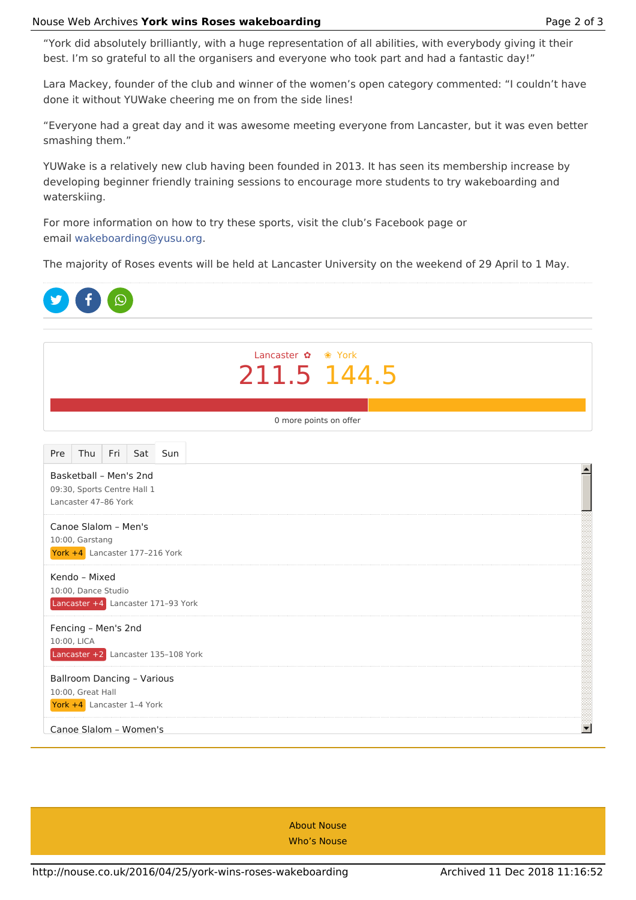## Nouse Web Archives York wins Roses wakeboarding **Page 1 and 2 and 2 and 2 of 3** and 2 of 3

"York did absolutely brilliantly, with a huge representation of all abilities, with everybody giving it their best. I'm so grateful to all the organisers and everyone who took part and had a fantastic day!"

Lara Mackey, founder of the club and winner of the women's open category commented: "I couldn't have done it without YUWake cheering me on from the side lines!

"Everyone had a great day and it was awesome meeting everyone from Lancaster, but it was even better smashing them."

YUWake is a relatively new club having been founded in 2013. It has seen its membership increase by developing beginner friendly training sessions to encourage more students to try wakeboarding and waterskiing.

For more information on how to try these sports, visit the club's Facebook page or email wakeboarding@yusu.org.

The majority of Roses events will be held at Lancaster University on the weekend of 29 April to 1 May.



About Nouse Who's Nouse

York +4 Lancaster 4–5 York

Lancaster +1 Lancaster 217–204 York